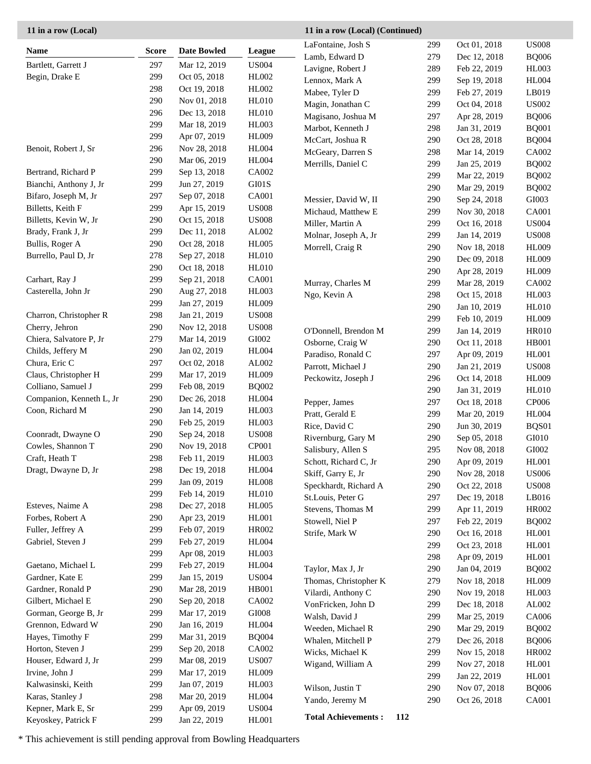| <b>Name</b>              | <b>Score</b> | <b>Date Bowled</b>           | League                        | LaFontaine, Josh S    | 299 | Oct 01, 2018 | <b>US008</b>  |
|--------------------------|--------------|------------------------------|-------------------------------|-----------------------|-----|--------------|---------------|
| Bartlett, Garrett J      | 297          |                              | <b>US004</b>                  | Lamb, Edward D        | 279 | Dec 12, 2018 | <b>BQ006</b>  |
| Begin, Drake E           | 299          | Mar 12, 2019<br>Oct 05, 2018 | HL002                         | Lavigne, Robert J     | 289 | Feb 22, 2019 | HL003         |
|                          | 298          | Oct 19, 2018                 | HL002                         | Lennox, Mark A        | 299 | Sep 19, 2018 | <b>HL004</b>  |
|                          | 290          | Nov 01, 2018                 | <b>HL010</b>                  | Mabee, Tyler D        | 299 | Feb 27, 2019 | LB019         |
|                          | 296          | Dec 13, 2018                 | <b>HL010</b>                  | Magin, Jonathan C     | 299 | Oct 04, 2018 | <b>US002</b>  |
|                          | 299          | Mar 18, 2019                 | <b>HL003</b>                  | Magisano, Joshua M    | 297 | Apr 28, 2019 | <b>BQ006</b>  |
|                          | 299          | Apr 07, 2019                 | <b>HL009</b>                  | Marbot, Kenneth J     | 298 | Jan 31, 2019 | <b>BQ001</b>  |
| Benoit, Robert J, Sr     | 296          | Nov 28, 2018                 | <b>HL004</b>                  | McCart, Joshua R      | 290 | Oct 28, 2018 | <b>BQ004</b>  |
|                          | 290          | Mar 06, 2019                 | <b>HL004</b>                  | McGeary, Darren S     | 298 | Mar 14, 2019 | <b>CA002</b>  |
| Bertrand, Richard P      | 299          | Sep 13, 2018                 | CA002                         | Merrills, Daniel C    | 299 | Jan 25, 2019 | <b>BQ002</b>  |
| Bianchi, Anthony J, Jr   | 299          | Jun 27, 2019                 | $\rm GI01S$                   |                       | 299 | Mar 22, 2019 | <b>BQ002</b>  |
| Bifaro, Joseph M, Jr     | 297          | Sep 07, 2018                 | CA001                         |                       | 290 | Mar 29, 2019 | <b>BQ002</b>  |
| Billetts, Keith F        | 299          | Apr 15, 2019                 | <b>US008</b>                  | Messier, David W, II  | 290 | Sep 24, 2018 | GI003         |
| Billetts, Kevin W, Jr    | 290          | Oct 15, 2018                 | <b>US008</b>                  | Michaud, Matthew E    | 299 | Nov 30, 2018 | <b>CA001</b>  |
| Brady, Frank J, Jr       | 299          | Dec 11, 2018                 | AL002                         | Miller, Martin A      | 299 | Oct 16, 2018 | <b>US004</b>  |
| Bullis, Roger A          | 290          | Oct 28, 2018                 | <b>HL005</b>                  | Molnar, Joseph A, Jr  | 299 | Jan 14, 2019 | <b>US008</b>  |
| Burrello, Paul D, Jr     | 278          | Sep 27, 2018                 | <b>HL010</b>                  | Morrell, Craig R      | 290 | Nov 18, 2018 | <b>HL009</b>  |
|                          | 290          | Oct 18, 2018                 | <b>HL010</b>                  |                       | 290 | Dec 09, 2018 | HL009         |
| Carhart, Ray J           | 299          | Sep 21, 2018                 | CA001                         |                       | 290 | Apr 28, 2019 | HL009         |
| Casterella, John Jr      | 290          | Aug 27, 2018                 | <b>HL003</b>                  | Murray, Charles M     | 299 | Mar 28, 2019 | <b>CA002</b>  |
| Charron, Christopher R   | 299          | Jan 27, 2019                 | <b>HL009</b>                  | Ngo, Kevin A          | 298 | Oct 15, 2018 | <b>HL003</b>  |
|                          | 298          | Jan 21, 2019                 | <b>US008</b>                  |                       | 290 | Jan 10, 2019 | <b>HL010</b>  |
| Cherry, Jehron           | 290          | Nov 12, 2018                 | <b>US008</b>                  |                       | 299 | Feb 10, 2019 | <b>HL009</b>  |
| Chiera, Salvatore P, Jr  | 279          | Mar 14, 2019                 | ${\rm GIO}02$                 | O'Donnell, Brendon M  | 299 | Jan 14, 2019 | <b>HR010</b>  |
| Childs, Jeffery M        | 290          | Jan 02, 2019                 | <b>HL004</b>                  | Osborne, Craig W      | 290 | Oct 11, 2018 | <b>HB001</b>  |
| Chura, Eric C            | 297          | Oct 02, 2018                 | ${\rm AL}002$                 | Paradiso, Ronald C    | 297 | Apr 09, 2019 | <b>HL001</b>  |
| Claus, Christopher H     | 299          | Mar 17, 2019                 | <b>HL009</b>                  | Parrott, Michael J    | 290 | Jan 21, 2019 | <b>US008</b>  |
| Colliano, Samuel J       | 299          | Feb 08, 2019                 | <b>BQ002</b>                  | Peckowitz, Joseph J   | 296 | Oct 14, 2018 | <b>HL009</b>  |
| Companion, Kenneth L, Jr | 290          | Dec 26, 2018                 | <b>HL004</b>                  |                       | 290 | Jan 31, 2019 | <b>HL010</b>  |
| Coon, Richard M          | 290          | Jan 14, 2019                 | <b>HL003</b>                  | Pepper, James         | 297 | Oct 18, 2018 | <b>CP006</b>  |
|                          | 290          | Feb 25, 2019                 | <b>HL003</b>                  | Pratt, Gerald E       | 299 | Mar 20, 2019 | <b>HL004</b>  |
| Coonradt, Dwayne O       | 290          | Sep 24, 2018                 | $\ensuremath{\mathrm{USO08}}$ | Rice, David C         | 290 | Jun 30, 2019 | BQS01         |
| Cowles, Shannon T        | 290          | Nov 19, 2018                 | CP001                         | Rivernburg, Gary M    | 290 | Sep 05, 2018 | GI010         |
| Craft, Heath T           | 298          | Feb 11, 2019                 | <b>HL003</b>                  | Salisbury, Allen S    | 295 | Nov 08, 2018 | ${\rm GIO}02$ |
| Dragt, Dwayne D, Jr      | 298          | Dec 19, 2018                 | <b>HL004</b>                  | Schott, Richard C, Jr | 290 | Apr 09, 2019 | HL001         |
|                          | 299          | Jan 09, 2019                 | <b>HL008</b>                  | Skiff, Garry E, Jr    | 290 | Nov 28, 2018 | <b>US006</b>  |
|                          | 299          | Feb 14, 2019                 | <b>HL010</b>                  | Speckhardt, Richard A | 290 | Oct 22, 2018 | <b>US008</b>  |
| Esteves, Naime A         | 298          | Dec 27, 2018                 | <b>HL005</b>                  | St.Louis, Peter G     | 297 | Dec 19, 2018 | LB016         |
| Forbes, Robert A         | 290          | Apr 23, 2019                 | HL001                         | Stevens, Thomas M     | 299 | Apr 11, 2019 | <b>HR002</b>  |
| Fuller, Jeffrey A        | 299          | Feb 07, 2019                 | HR002                         | Stowell, Niel P       | 297 | Feb 22, 2019 | <b>BQ002</b>  |
| Gabriel, Steven J        | 299          | Feb 27, 2019                 | <b>HL004</b>                  | Strife, Mark W        | 290 | Oct 16, 2018 | <b>HL001</b>  |
|                          | 299          | Apr 08, 2019                 | HL003                         |                       | 299 | Oct 23, 2018 | <b>HL001</b>  |
| Gaetano, Michael L       | 299          | Feb 27, 2019                 | <b>HL004</b>                  |                       | 298 | Apr 09, 2019 | <b>HL001</b>  |
| Gardner, Kate E          | 299          | Jan 15, 2019                 | <b>US004</b>                  | Taylor, Max J, Jr     | 290 | Jan 04, 2019 | <b>BQ002</b>  |
| Gardner, Ronald P        | 290          | Mar 28, 2019                 | HB001                         | Thomas, Christopher K | 279 | Nov 18, 2018 | <b>HL009</b>  |
| Gilbert, Michael E       | 290          | Sep 20, 2018                 | CA002                         | Vilardi, Anthony C    | 290 | Nov 19, 2018 | HL003         |
| Gorman, George B, Jr     | 299          | Mar 17, 2019                 | $\rm GIO08$                   | VonFricken, John D    | 299 | Dec 18, 2018 | AL002         |
| Grennon, Edward W        | 290          | Jan 16, 2019                 | <b>HL004</b>                  | Walsh, David J        | 299 | Mar 25, 2019 | CA006         |
| Hayes, Timothy F         | 299          | Mar 31, 2019                 | <b>BQ004</b>                  | Weeden, Michael R     | 290 | Mar 29, 2019 | <b>BQ002</b>  |
| Horton, Steven J         | 299          | Sep 20, 2018                 | CA002                         | Whalen, Mitchell P    | 279 | Dec 26, 2018 | <b>BQ006</b>  |
| Houser, Edward J, Jr     | 299          | Mar 08, 2019                 | <b>US007</b>                  | Wicks, Michael K      | 299 | Nov 15, 2018 | <b>HR002</b>  |
| Irvine, John J           | 299          | Mar 17, 2019                 | <b>HL009</b>                  | Wigand, William A     | 299 | Nov 27, 2018 | <b>HL001</b>  |
| Kalwasinski, Keith       | 299          | Jan 07, 2019                 | HL003                         |                       | 299 | Jan 22, 2019 | HL001         |
| Karas, Stanley J         | 298          | Mar 20, 2019                 | <b>HL004</b>                  | Wilson, Justin T      | 290 | Nov 07, 2018 | <b>BQ006</b>  |
| Kepner, Mark E, Sr       | 299          | Apr 09, 2019                 | <b>US004</b>                  | Yando, Jeremy M       | 290 | Oct 26, 2018 | <b>CA001</b>  |
|                          |              |                              |                               |                       |     |              |               |

**11 in a row (Local) (Continued)**

Keyoskey, Patrick F 299 Jan 22, 2019 HL001 **Total Achievements : 112** 

\* This achievement is still pending approval from Bowling Headquarters

**11 in a row (Local)**